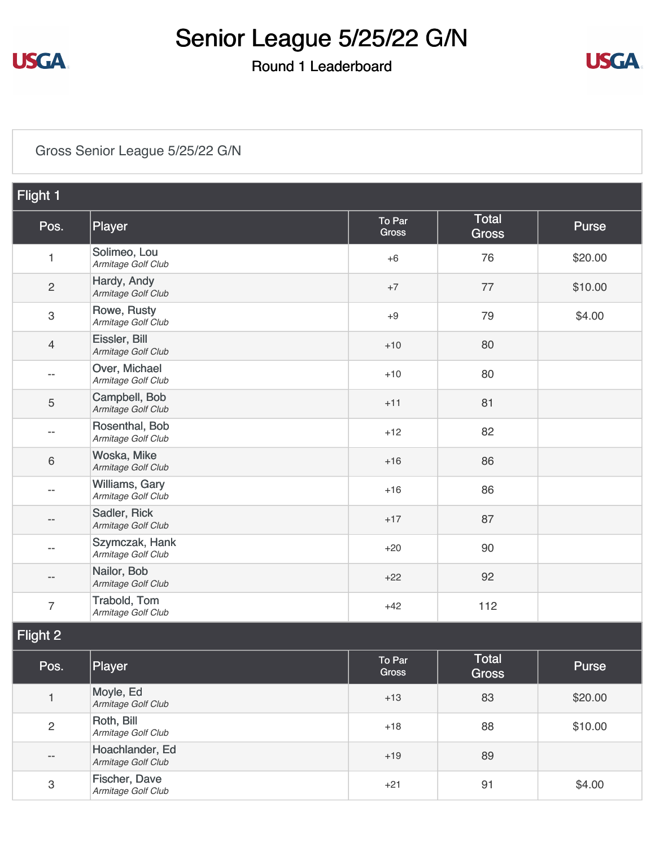

### Round 1 Leaderboard



### [Gross Senior League 5/25/22 G/N](https://static.golfgenius.com/v2tournaments/8517177015802049518?called_from=&round_index=1)

| Flight 1                  |                                       |                 |                              |              |
|---------------------------|---------------------------------------|-----------------|------------------------------|--------------|
| Pos.                      | Player                                | To Par<br>Gross | Total<br><b>Gross</b>        | <b>Purse</b> |
| $\mathbf{1}$              | Solimeo, Lou<br>Armitage Golf Club    | $+6$            | 76                           | \$20.00      |
| $\mathbf{2}$              | Hardy, Andy<br>Armitage Golf Club     | $+7$            | 77                           | \$10.00      |
| $\,3$                     | Rowe, Rusty<br>Armitage Golf Club     | $+9$            | 79                           | \$4.00       |
| $\overline{4}$            | Eissler, Bill<br>Armitage Golf Club   | $+10$           | 80                           |              |
| $- -$                     | Over, Michael<br>Armitage Golf Club   | $+10$           | 80                           |              |
| 5                         | Campbell, Bob<br>Armitage Golf Club   | $+11$           | 81                           |              |
| $- -$                     | Rosenthal, Bob<br>Armitage Golf Club  | $+12$           | 82                           |              |
| 6                         | Woska, Mike<br>Armitage Golf Club     | $+16$           | 86                           |              |
| --                        | Williams, Gary<br>Armitage Golf Club  | $+16$           | 86                           |              |
|                           | Sadler, Rick<br>Armitage Golf Club    | $+17$           | 87                           |              |
| --                        | Szymczak, Hank<br>Armitage Golf Club  | $+20$           | 90                           |              |
|                           | Nailor, Bob<br>Armitage Golf Club     | $+22$           | 92                           |              |
| $\overline{7}$            | Trabold, Tom<br>Armitage Golf Club    | $+42$           | 112                          |              |
| Flight 2                  |                                       |                 |                              |              |
| Pos.                      | Player                                | To Par<br>Gross | <b>Total</b><br><b>Gross</b> | Purse        |
| $\mathbf{1}$              | Moyle, Ed<br>Armitage Golf Club       | $+13$           | 83                           | \$20.00      |
| $\overline{c}$            | Roth, Bill<br>Armitage Golf Club      | $+18$           | 88                           | \$10.00      |
| $- -$                     | Hoachlander, Ed<br>Armitage Golf Club | $+19$           | 89                           |              |
| $\ensuremath{\mathsf{3}}$ | Fischer, Dave<br>Armitage Golf Club   | $+21$           | 91                           | \$4.00       |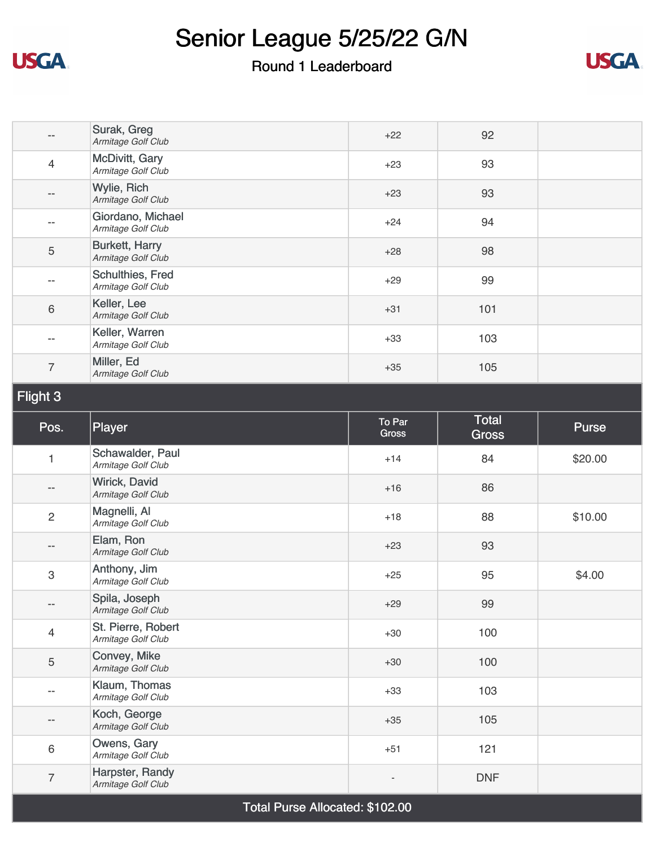

### Round 1 Leaderboard



| $-$            | Surak, Greg<br>Armitage Golf Club           | $+22$                  | 92                    |         |
|----------------|---------------------------------------------|------------------------|-----------------------|---------|
| $\overline{4}$ | McDivitt, Gary<br>Armitage Golf Club        | $+23$                  | 93                    |         |
| --             | Wylie, Rich<br>Armitage Golf Club           | $+23$                  | 93                    |         |
| $- -$          | Giordano, Michael<br>Armitage Golf Club     | $+24$                  | 94                    |         |
| 5              | <b>Burkett, Harry</b><br>Armitage Golf Club | $+28$                  | 98                    |         |
| --             | Schulthies, Fred<br>Armitage Golf Club      | $+29$                  | 99                    |         |
| 6              | Keller, Lee<br>Armitage Golf Club           | $+31$                  | 101                   |         |
| $- -$          | Keller, Warren<br>Armitage Golf Club        | $+33$                  | 103                   |         |
| $\overline{7}$ | Miller, Ed<br>Armitage Golf Club            | $+35$                  | 105                   |         |
| Flight 3       |                                             |                        |                       |         |
| Pos.           | Player                                      | To Par<br><b>Gross</b> | Total<br><b>Gross</b> | Purse   |
| 1              | Schawalder, Paul<br>Armitage Golf Club      | $+14$                  | 84                    | \$20.00 |
| --             | Wirick, David<br>Armitage Golf Club         | $+16$                  | 86                    |         |
| $\overline{c}$ | Magnelli, Al<br>Armitage Golf Club          | $+18$                  | 88                    | \$10.00 |
| --             | Elam, Ron<br>Armitage Golf Club             | $+23$                  | 93                    |         |
| 3              | Anthony, Jim<br>Armitage Golf Club          | $+25$                  | 95                    | \$4.00  |
| $- -$          | Spila, Joseph<br>Armitage Golf Club         | $+29$                  | 99                    |         |
| $\overline{4}$ | St. Pierre, Robert<br>Armitage Golf Club    | $+30$                  | 100                   |         |
| 5              |                                             |                        |                       |         |
|                | Convey, Mike<br>Armitage Golf Club          | $+30$                  | 100                   |         |
| --             | Klaum, Thomas<br>Armitage Golf Club         | $+33$                  | 103                   |         |
| --             | Koch, George<br>Armitage Golf Club          | $+35$                  | 105                   |         |
| 6              | Owens, Gary<br>Armitage Golf Club           | $+51$                  | 121                   |         |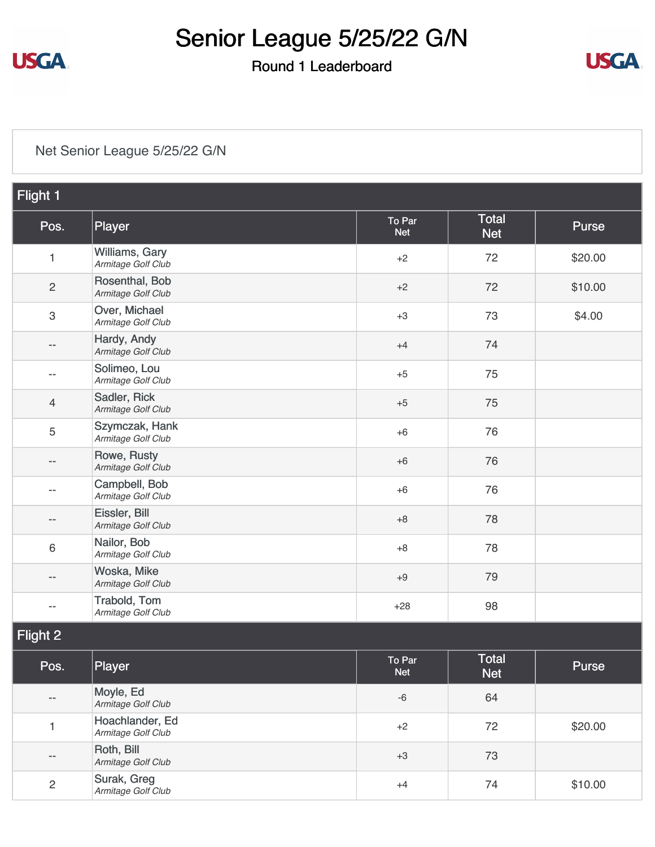

### Round 1 Leaderboard



#### [Net Senior League 5/25/22 G/N](https://static.golfgenius.com/v2tournaments/8517177019325264879?called_from=&round_index=1)

| Flight 1                  |                                       |                      |                            |         |
|---------------------------|---------------------------------------|----------------------|----------------------------|---------|
| Pos.                      | Player                                | To Par<br><b>Net</b> | <b>Total</b><br><b>Net</b> | Purse   |
| 1                         | Williams, Gary<br>Armitage Golf Club  | $+2$                 | 72                         | \$20.00 |
| $\sqrt{2}$                | Rosenthal, Bob<br>Armitage Golf Club  | $+2$                 | 72                         | \$10.00 |
| $\ensuremath{\mathsf{3}}$ | Over, Michael<br>Armitage Golf Club   | $+3$                 | 73                         | \$4.00  |
| $- -$                     | Hardy, Andy<br>Armitage Golf Club     | $+4$                 | 74                         |         |
| $- -$                     | Solimeo, Lou<br>Armitage Golf Club    | $+5$                 | 75                         |         |
| 4                         | Sadler, Rick<br>Armitage Golf Club    | $+5$                 | 75                         |         |
| 5                         | Szymczak, Hank<br>Armitage Golf Club  | $+6$                 | 76                         |         |
| $-$                       | Rowe, Rusty<br>Armitage Golf Club     | $+6$                 | 76                         |         |
| $-$                       | Campbell, Bob<br>Armitage Golf Club   | $+6$                 | 76                         |         |
|                           | Eissler, Bill<br>Armitage Golf Club   | $+8$                 | 78                         |         |
| $\,6\,$                   | Nailor, Bob<br>Armitage Golf Club     | $+8$                 | 78                         |         |
|                           | Woska, Mike<br>Armitage Golf Club     | $+9$                 | 79                         |         |
| --                        | Trabold, Tom<br>Armitage Golf Club    | $+28$                | 98                         |         |
| Flight 2                  |                                       |                      |                            |         |
| Pos.                      | Player                                | To Par<br><b>Net</b> | <b>Total</b><br><b>Net</b> | Purse   |
|                           | Moyle, Ed<br>Armitage Golf Club       | $-6$                 | 64                         |         |
| 1                         | Hoachlander, Ed<br>Armitage Golf Club | $+2$                 | 72                         | \$20.00 |
| $\qquad \qquad -$         | Roth, Bill<br>Armitage Golf Club      | $+3$                 | 73                         |         |
| $\overline{c}$            | Surak, Greg<br>Armitage Golf Club     | $+4$                 | 74                         | \$10.00 |